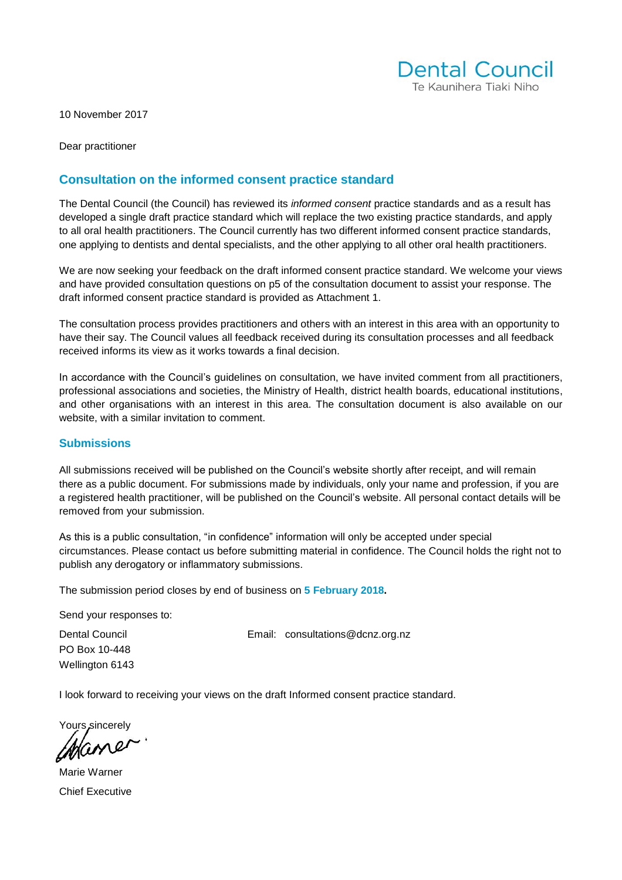

10 November 2017

Dear practitioner

#### **Consultation on the informed consent practice standard**

The Dental Council (the Council) has reviewed its *informed consent* practice standards and as a result has developed a single draft practice standard which will replace the two existing practice standards, and apply to all oral health practitioners. The Council currently has two different informed consent practice standards, one applying to dentists and dental specialists, and the other applying to all other oral health practitioners.

We are now seeking your feedback on the draft informed consent practice standard. We welcome your views and have provided consultation questions on p5 of the consultation document to assist your response. The draft informed consent practice standard is provided as Attachment 1.

The consultation process provides practitioners and others with an interest in this area with an opportunity to have their say. The Council values all feedback received during its consultation processes and all feedback received informs its view as it works towards a final decision.

In accordance with the Council's guidelines on consultation, we have invited comment from all practitioners, professional associations and societies, the Ministry of Health, district health boards, educational institutions, and other organisations with an interest in this area. The consultation document is also available on our website, with a similar invitation to comment.

#### **Submissions**

All submissions received will be published on the Council's website shortly after receipt, and will remain there as a public document. For submissions made by individuals, only your name and profession, if you are a registered health practitioner, will be published on the Council's website. All personal contact details will be removed from your submission.

As this is a public consultation, "in confidence" information will only be accepted under special circumstances. Please contact us before submitting material in confidence. The Council holds the right not to publish any derogatory or inflammatory submissions.

The submission period closes by end of business on **5 February 2018.** 

Send your responses to:

PO Box 10-448 Wellington 6143

Dental Council Email: [consultations@dcnz.org.nz](mailto:consultations@dcnz.org.nz)

I look forward to receiving your views on the draft Informed consent practice standard.

Yours sincerely

Marie Warner Chief Executive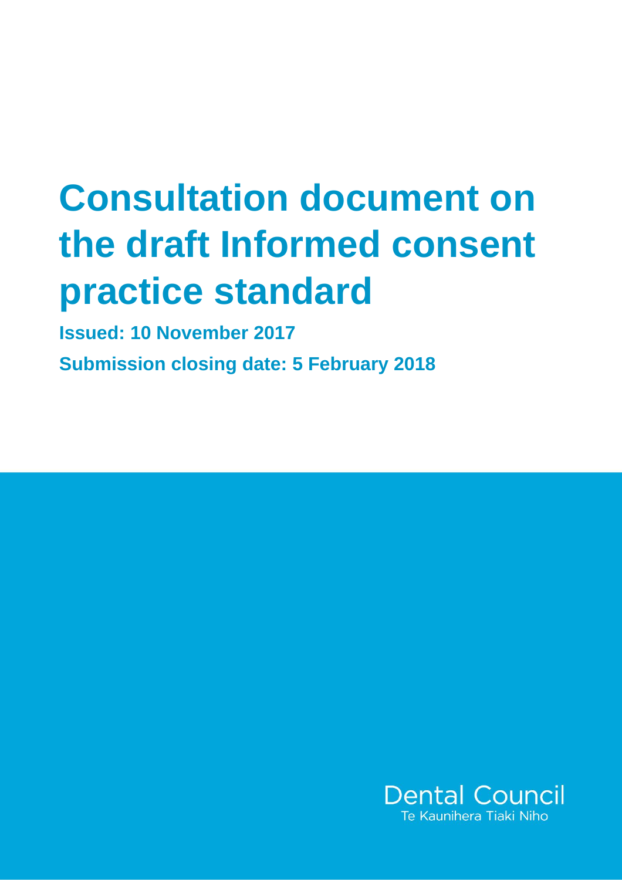# **Consultation document on the draft Informed consent practice standard**

**Issued: 10 November 2017**

**Submission closing date: 5 February 2018**

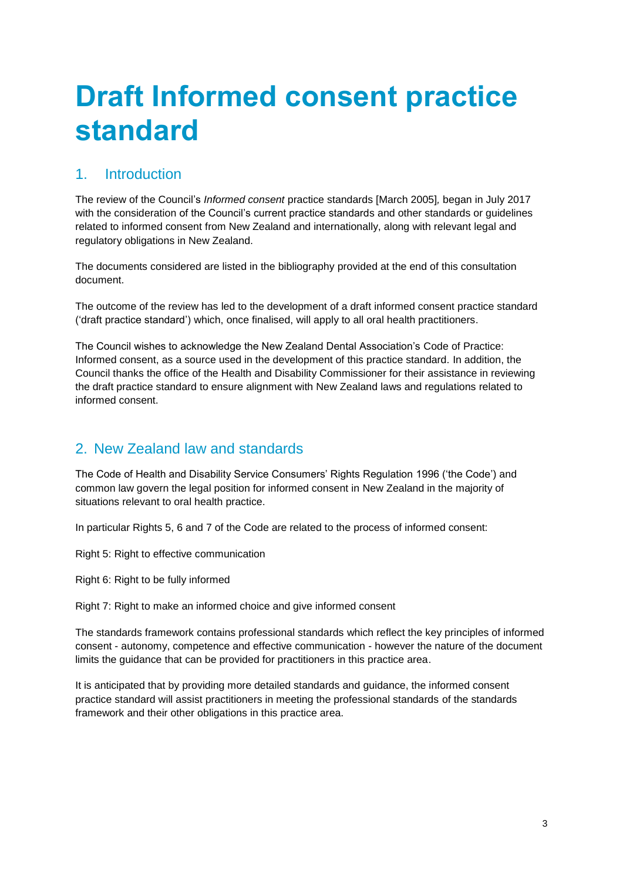# **Draft Informed consent practice standard**

# 1. Introduction

The review of the Council's *Informed consent* practice standards [March 2005]*,* began in July 2017 with the consideration of the Council's current practice standards and other standards or guidelines related to informed consent from New Zealand and internationally, along with relevant legal and regulatory obligations in New Zealand.

The documents considered are listed in the bibliography provided at the end of this consultation document.

The outcome of the review has led to the development of a draft informed consent practice standard ('draft practice standard') which, once finalised, will apply to all oral health practitioners.

The Council wishes to acknowledge the New Zealand Dental Association's Code of Practice: Informed consent, as a source used in the development of this practice standard. In addition, the Council thanks the office of the Health and Disability Commissioner for their assistance in reviewing the draft practice standard to ensure alignment with New Zealand laws and regulations related to informed consent.

# 2. New Zealand law and standards

The Code of Health and Disability Service Consumers' Rights Regulation 1996 ('the Code') and common law govern the legal position for informed consent in New Zealand in the majority of situations relevant to oral health practice.

In particular Rights 5, 6 and 7 of the Code are related to the process of informed consent:

Right 5: Right to effective communication

Right 6: Right to be fully informed

Right 7: Right to make an informed choice and give informed consent

The standards framework contains professional standards which reflect the key principles of informed consent - autonomy, competence and effective communication - however the nature of the document limits the guidance that can be provided for practitioners in this practice area.

It is anticipated that by providing more detailed standards and guidance, the informed consent practice standard will assist practitioners in meeting the professional standards of the standards framework and their other obligations in this practice area.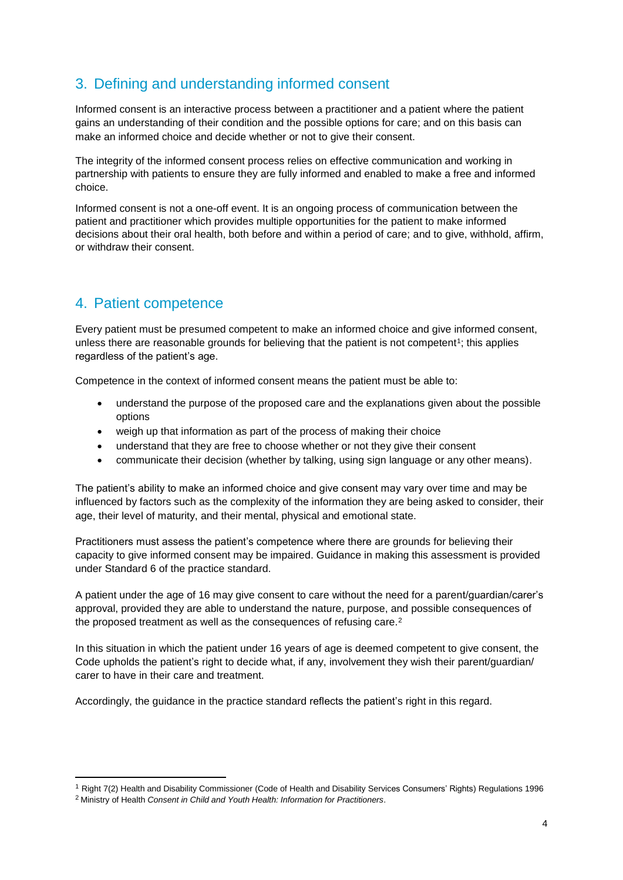# 3. Defining and understanding informed consent

Informed consent is an interactive process between a practitioner and a patient where the patient gains an understanding of their condition and the possible options for care; and on this basis can make an informed choice and decide whether or not to give their consent.

The integrity of the informed consent process relies on effective communication and working in partnership with patients to ensure they are fully informed and enabled to make a free and informed choice.

Informed consent is not a one-off event. It is an ongoing process of communication between the patient and practitioner which provides multiple opportunities for the patient to make informed decisions about their oral health, both before and within a period of care; and to give, withhold, affirm, or withdraw their consent.

# 4. Patient competence

Every patient must be presumed competent to make an informed choice and give informed consent, unless there are reasonable grounds for believing that the patient is not competent<sup>1</sup>; this applies regardless of the patient's age.

Competence in the context of informed consent means the patient must be able to:

- understand the purpose of the proposed care and the explanations given about the possible options
- weigh up that information as part of the process of making their choice
- understand that they are free to choose whether or not they give their consent
- communicate their decision (whether by talking, using sign language or any other means).

The patient's ability to make an informed choice and give consent may vary over time and may be influenced by factors such as the complexity of the information they are being asked to consider, their age, their level of maturity, and their mental, physical and emotional state.

Practitioners must assess the patient's competence where there are grounds for believing their capacity to give informed consent may be impaired. Guidance in making this assessment is provided under Standard 6 of the practice standard.

A patient under the age of 16 may give consent to care without the need for a parent/guardian/carer's approval, provided they are able to understand the nature, purpose, and possible consequences of the proposed treatment as well as the consequences of refusing care.<sup>2</sup>

In this situation in which the patient under 16 years of age is deemed competent to give consent, the Code upholds the patient's right to decide what, if any, involvement they wish their parent/guardian/ carer to have in their care and treatment.

Accordingly, the guidance in the practice standard reflects the patient's right in this regard.

**.** 

<sup>1</sup> Right 7(2) Health and Disability Commissioner (Code of Health and Disability Services Consumers' Rights) Regulations 1996

<sup>2</sup> Ministry of Health *Consent in Child and Youth Health: Information for Practitioners*.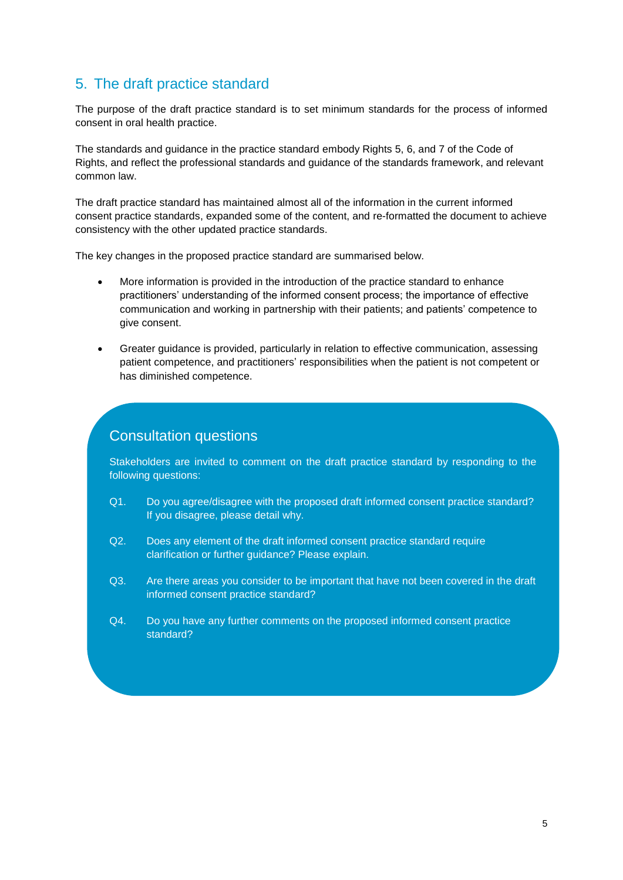# 5. The draft practice standard

The purpose of the draft practice standard is to set minimum standards for the process of informed consent in oral health practice.

The standards and guidance in the practice standard embody Rights 5, 6, and 7 of the Code of Rights, and reflect the professional standards and guidance of the standards framework, and relevant common law.

The draft practice standard has maintained almost all of the information in the current informed consent practice standards, expanded some of the content, and re-formatted the document to achieve consistency with the other updated practice standards.

The key changes in the proposed practice standard are summarised below.

- More information is provided in the introduction of the practice standard to enhance practitioners' understanding of the informed consent process; the importance of effective communication and working in partnership with their patients; and patients' competence to give consent.
- Greater guidance is provided, particularly in relation to effective communication, assessing patient competence, and practitioners' responsibilities when the patient is not competent or has diminished competence.

### Consultation questions

Stakeholders are invited to comment on the draft practice standard by responding to the following questions:

- Q1. Do you agree/disagree with the proposed draft informed consent practice standard? If you disagree, please detail why.
- Q2. Does any element of the draft informed consent practice standard require clarification or further guidance? Please explain.
- Q3. Are there areas you consider to be important that have not been covered in the draft informed consent practice standard?
- Q4. Do you have any further comments on the proposed informed consent practice standard?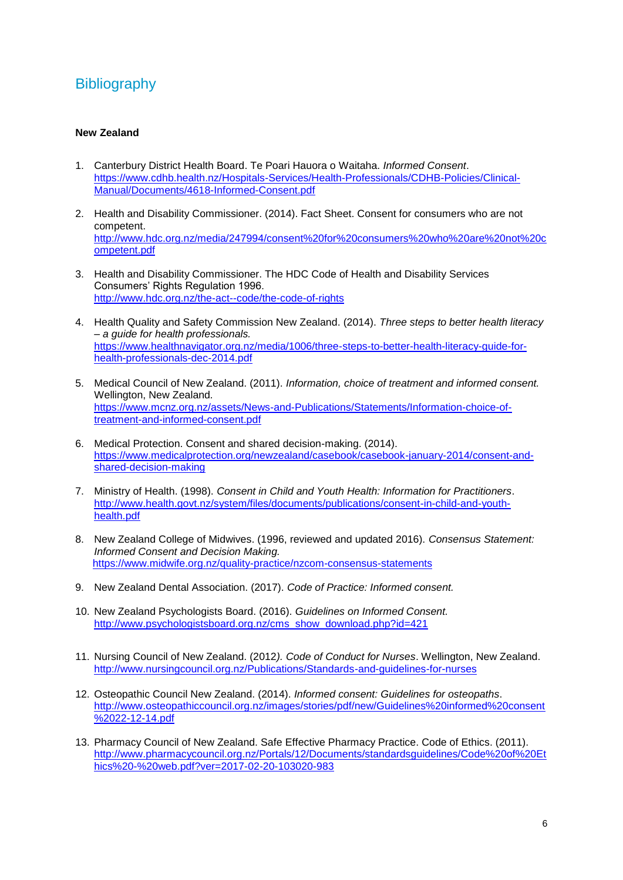## **Bibliography**

#### **New Zealand**

- 1. Canterbury District Health Board. Te Poari Hauora o Waitaha. *Informed Consent*. [https://www.cdhb.health.nz/Hospitals-Services/Health-Professionals/CDHB-Policies/Clinical-](https://www.cdhb.health.nz/Hospitals-Services/Health-Professionals/CDHB-Policies/Clinical-Manual/Documents/4618-Informed-Consent.pdf)[Manual/Documents/4618-Informed-Consent.pdf](https://www.cdhb.health.nz/Hospitals-Services/Health-Professionals/CDHB-Policies/Clinical-Manual/Documents/4618-Informed-Consent.pdf)
- 2. Health and Disability Commissioner. (2014). Fact Sheet. Consent for consumers who are not competent. [http://www.hdc.org.nz/media/247994/consent%20for%20consumers%20who%20are%20not%20c](http://www.hdc.org.nz/media/247994/consent%20for%20consumers%20who%20are%20not%20competent.pdf) [ompetent.pdf](http://www.hdc.org.nz/media/247994/consent%20for%20consumers%20who%20are%20not%20competent.pdf)
- 3. Health and Disability Commissioner. The HDC Code of Health and Disability Services Consumers' Rights Regulation 1996. <http://www.hdc.org.nz/the-act--code/the-code-of-rights>
- 4. Health Quality and Safety Commission New Zealand. (2014). *Three steps to better health literacy – a guide for health professionals.* [https://www.healthnavigator.org.nz/media/1006/three-steps-to-better-health-literacy-guide-for](https://www.healthnavigator.org.nz/media/1006/three-steps-to-better-health-literacy-guide-for-health-professionals-dec-2014.pdf)[health-professionals-dec-2014.pdf](https://www.healthnavigator.org.nz/media/1006/three-steps-to-better-health-literacy-guide-for-health-professionals-dec-2014.pdf)
- 5. Medical Council of New Zealand. (2011). *Information, choice of treatment and informed consent.*  Wellington, New Zealand*.* [https://www.mcnz.org.nz/assets/News-and-Publications/Statements/Information-choice-of](https://www.mcnz.org.nz/assets/News-and-Publications/Statements/Information-choice-of-treatment-and-informed-consent.pdf)[treatment-and-informed-consent.pdf](https://www.mcnz.org.nz/assets/News-and-Publications/Statements/Information-choice-of-treatment-and-informed-consent.pdf)
- 6. Medical Protection. Consent and shared decision-making. (2014). [https://www.medicalprotection.org/newzealand/casebook/casebook-january-2014/consent-and](https://www.medicalprotection.org/newzealand/casebook/casebook-january-2014/consent-and-shared-decision-making)[shared-decision-making](https://www.medicalprotection.org/newzealand/casebook/casebook-january-2014/consent-and-shared-decision-making)
- 7. Ministry of Health. (1998). *Consent in Child and Youth Health: Information for Practitioners*. [http://www.health.govt.nz/system/files/documents/publications/consent-in-child-and-youth](http://www.health.govt.nz/system/files/documents/publications/consent-in-child-and-youth-health.pdf)[health.pdf](http://www.health.govt.nz/system/files/documents/publications/consent-in-child-and-youth-health.pdf)
- 8. New Zealand College of Midwives. (1996, reviewed and updated 2016). *Consensus Statement: Informed Consent and Decision Making.* <https://www.midwife.org.nz/quality-practice/nzcom-consensus-statements>
- 9. New Zealand Dental Association. (2017). *Code of Practice: Informed consent.*
- 10. New Zealand Psychologists Board. (2016). *Guidelines on Informed Consent.* [http://www.psychologistsboard.org.nz/cms\\_show\\_download.php?id=421](http://www.psychologistsboard.org.nz/cms_show_download.php?id=421)
- 11. Nursing Council of New Zealand. (2012*). Code of Conduct for Nurses*. Wellington, New Zealand. <http://www.nursingcouncil.org.nz/Publications/Standards-and-guidelines-for-nurses>
- 12. Osteopathic Council New Zealand. (2014). *Informed consent: Guidelines for osteopaths*. [http://www.osteopathiccouncil.org.nz/images/stories/pdf/new/Guidelines%20informed%20consent](http://www.osteopathiccouncil.org.nz/images/stories/pdf/new/Guidelines%20informed%20consent%2022-12-14.pdf) [%2022-12-14.pdf](http://www.osteopathiccouncil.org.nz/images/stories/pdf/new/Guidelines%20informed%20consent%2022-12-14.pdf)
- 13. Pharmacy Council of New Zealand. Safe Effective Pharmacy Practice. Code of Ethics. (2011). [http://www.pharmacycouncil.org.nz/Portals/12/Documents/standardsguidelines/Code%20of%20Et](http://www.pharmacycouncil.org.nz/Portals/12/Documents/standardsguidelines/Code%20of%20Ethics%20-%20web.pdf?ver=2017-02-20-103020-983) [hics%20-%20web.pdf?ver=2017-02-20-103020-983](http://www.pharmacycouncil.org.nz/Portals/12/Documents/standardsguidelines/Code%20of%20Ethics%20-%20web.pdf?ver=2017-02-20-103020-983)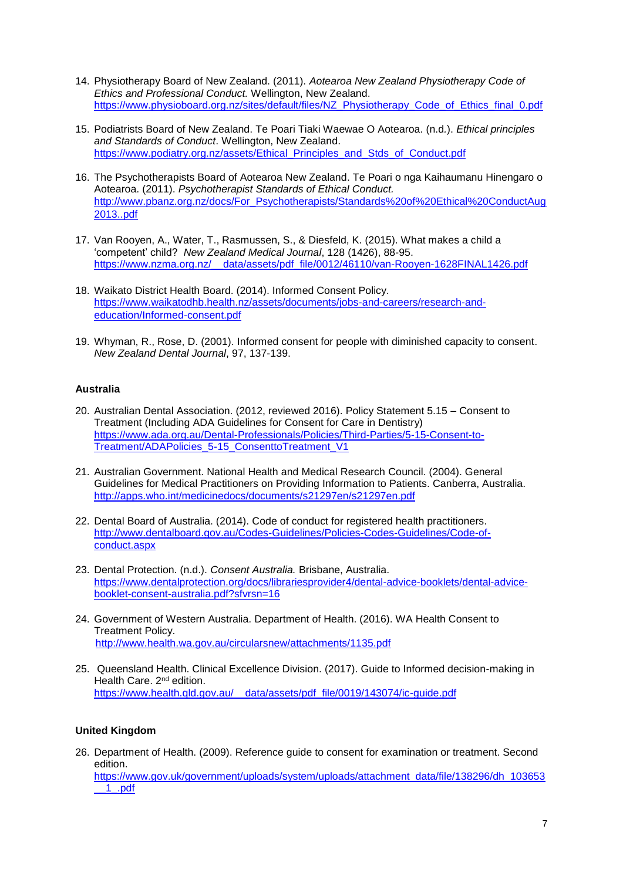- 14. Physiotherapy Board of New Zealand. (2011). *Aotearoa New Zealand Physiotherapy Code of Ethics and Professional Conduct.* Wellington, New Zealand. [https://www.physioboard.org.nz/sites/default/files/NZ\\_Physiotherapy\\_Code\\_of\\_Ethics\\_final\\_0.pdf](https://www.physioboard.org.nz/sites/default/files/NZ_Physiotherapy_Code_of_Ethics_final_0.pdf)
- 15. Podiatrists Board of New Zealand. Te Poari Tiaki Waewae O Aotearoa. (n.d*.*). *Ethical principles and Standards of Conduct*. Wellington, New Zealand. [https://www.podiatry.org.nz/assets/Ethical\\_Principles\\_and\\_Stds\\_of\\_Conduct.pdf](https://www.podiatry.org.nz/assets/Ethical_Principles_and_Stds_of_Conduct.pdf)
- 16. The Psychotherapists Board of Aotearoa New Zealand. Te Poari o nga Kaihaumanu Hinengaro o Aotearoa. (2011). *Psychotherapist Standards of Ethical Conduct.* [http://www.pbanz.org.nz/docs/For\\_Psychotherapists/Standards%20of%20Ethical%20ConductAug](http://www.pbanz.org.nz/docs/For_Psychotherapists/Standards%20of%20Ethical%20ConductAug2013..pdf) [2013..pdf](http://www.pbanz.org.nz/docs/For_Psychotherapists/Standards%20of%20Ethical%20ConductAug2013..pdf)
- 17. Van Rooyen, A., Water, T., Rasmussen, S., & Diesfeld, K. (2015). What makes a child a 'competent' child? *New Zealand Medical Journal*, 128 (1426), 88-95. [https://www.nzma.org.nz/\\_\\_data/assets/pdf\\_file/0012/46110/van-Rooyen-1628FINAL1426.pdf](https://www.nzma.org.nz/__data/assets/pdf_file/0012/46110/van-Rooyen-1628FINAL1426.pdf)
- 18. Waikato District Health Board. (2014). Informed Consent Policy. [https://www.waikatodhb.health.nz/assets/documents/jobs-and-careers/research-and](https://www.waikatodhb.health.nz/assets/documents/jobs-and-careers/research-and-education/Informed-consent.pdf)[education/Informed-consent.pdf](https://www.waikatodhb.health.nz/assets/documents/jobs-and-careers/research-and-education/Informed-consent.pdf)
- 19. Whyman, R., Rose, D. (2001). Informed consent for people with diminished capacity to consent. *New Zealand Dental Journal*, 97, 137-139.

#### **Australia**

- 20. Australian Dental Association. (2012, reviewed 2016). Policy Statement 5.15 Consent to Treatment (Including ADA Guidelines for Consent for Care in Dentistry) [https://www.ada.org.au/Dental-Professionals/Policies/Third-Parties/5-15-Consent-to-](https://www.ada.org.au/Dental-Professionals/Policies/Third-Parties/5-15-Consent-to-Treatment/ADAPolicies_5-15_ConsenttoTreatment_V1)[Treatment/ADAPolicies\\_5-15\\_ConsenttoTreatment\\_V1](https://www.ada.org.au/Dental-Professionals/Policies/Third-Parties/5-15-Consent-to-Treatment/ADAPolicies_5-15_ConsenttoTreatment_V1)
- 21. Australian Government. National Health and Medical Research Council. (2004). General Guidelines for Medical Practitioners on Providing Information to Patients. Canberra, Australia. <http://apps.who.int/medicinedocs/documents/s21297en/s21297en.pdf>
- 22. Dental Board of Australia. (2014). Code of conduct for registered health practitioners. [http://www.dentalboard.gov.au/Codes-Guidelines/Policies-Codes-Guidelines/Code-of](http://www.dentalboard.gov.au/Codes-Guidelines/Policies-Codes-Guidelines/Code-of-conduct.aspx)[conduct.aspx](http://www.dentalboard.gov.au/Codes-Guidelines/Policies-Codes-Guidelines/Code-of-conduct.aspx)
- 23. Dental Protection. (n.d.). *Consent Australia.* Brisbane, Australia. [https://www.dentalprotection.org/docs/librariesprovider4/dental-advice-booklets/dental-advice](https://www.dentalprotection.org/docs/librariesprovider4/dental-advice-booklets/dental-advice-booklet-consent-australia.pdf?sfvrsn=16)[booklet-consent-australia.pdf?sfvrsn=16](https://www.dentalprotection.org/docs/librariesprovider4/dental-advice-booklets/dental-advice-booklet-consent-australia.pdf?sfvrsn=16)
- 24. Government of Western Australia. Department of Health. (2016). WA Health Consent to Treatment Policy. <http://www.health.wa.gov.au/circularsnew/attachments/1135.pdf>
- 25. Queensland Health. Clinical Excellence Division. (2017). Guide to Informed decision-making in Health Care. 2<sup>nd</sup> edition. [https://www.health.qld.gov.au/\\_\\_data/assets/pdf\\_file/0019/143074/ic-guide.pdf](https://www.health.qld.gov.au/__data/assets/pdf_file/0019/143074/ic-guide.pdf)

#### **United Kingdom**

26. Department of Health. (2009). Reference guide to consent for examination or treatment. Second edition. [https://www.gov.uk/government/uploads/system/uploads/attachment\\_data/file/138296/dh\\_103653](https://www.gov.uk/government/uploads/system/uploads/attachment_data/file/138296/dh_103653__1_.pdf) [\\_\\_1\\_.pdf](https://www.gov.uk/government/uploads/system/uploads/attachment_data/file/138296/dh_103653__1_.pdf)